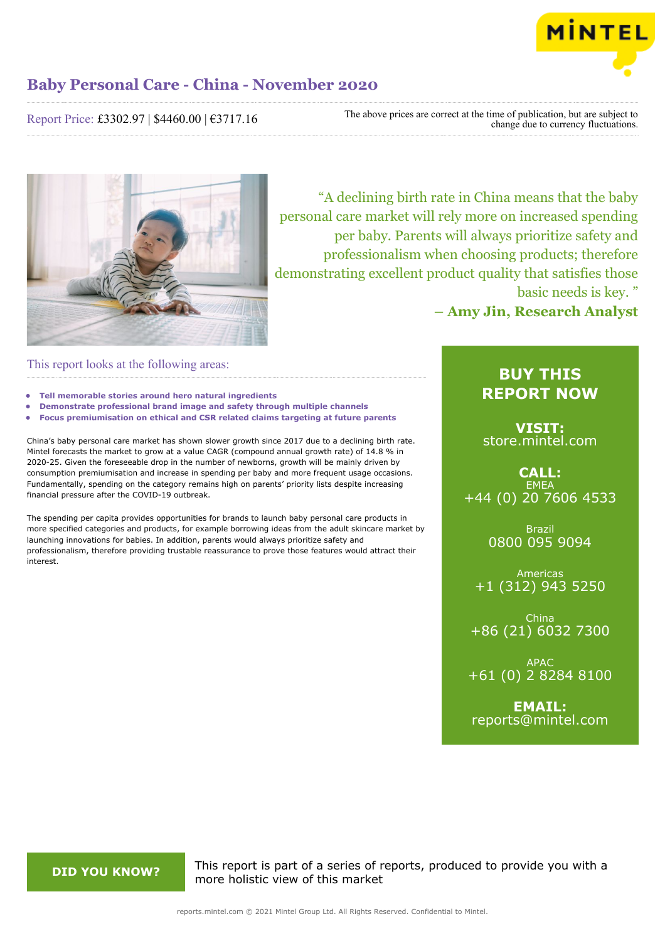

Report Price: £3302.97 | \$4460.00 | €3717.16

The above prices are correct at the time of publication, but are subject to change due to currency fluctuations.



"A declining birth rate in China means that the baby personal care market will rely more on increased spending per baby. Parents will always prioritize safety and professionalism when choosing products; therefore demonstrating excellent product quality that satisfies those basic needs is key. "

**– Amy Jin, Research Analyst**

This report looks at the following areas:

- **• Tell memorable stories around hero natural ingredients**
- **• Demonstrate professional brand image and safety through multiple channels**
- **• Focus premiumisation on ethical and CSR related claims targeting at future parents**

China's baby personal care market has shown slower growth since 2017 due to a declining birth rate. Mintel forecasts the market to grow at a value CAGR (compound annual growth rate) of 14.8 % in 2020-25. Given the foreseeable drop in the number of newborns, growth will be mainly driven by consumption premiumisation and increase in spending per baby and more frequent usage occasions. Fundamentally, spending on the category remains high on parents' priority lists despite increasing financial pressure after the COVID-19 outbreak.

The spending per capita provides opportunities for brands to launch baby personal care products in more specified categories and products, for example borrowing ideas from the adult skincare market by launching innovations for babies. In addition, parents would always prioritize safety and professionalism, therefore providing trustable reassurance to prove those features would attract their interest.

### **BUY THIS REPORT NOW**

**VISIT:** [store.mintel.com](/reports.mintel.com//display/store/990454/)

**CALL: EMEA** +44 (0) 20 7606 4533

> Brazil 0800 095 9094

Americas +1 (312) 943 5250

China +86 (21) 6032 7300

APAC +61 (0) 2 8284 8100

**EMAIL:** [reports@mintel.com](mailto:reports@mintel.com)

**DID YOU KNOW?** This report is part of a series of reports, produced to provide you with a more holistic view of this market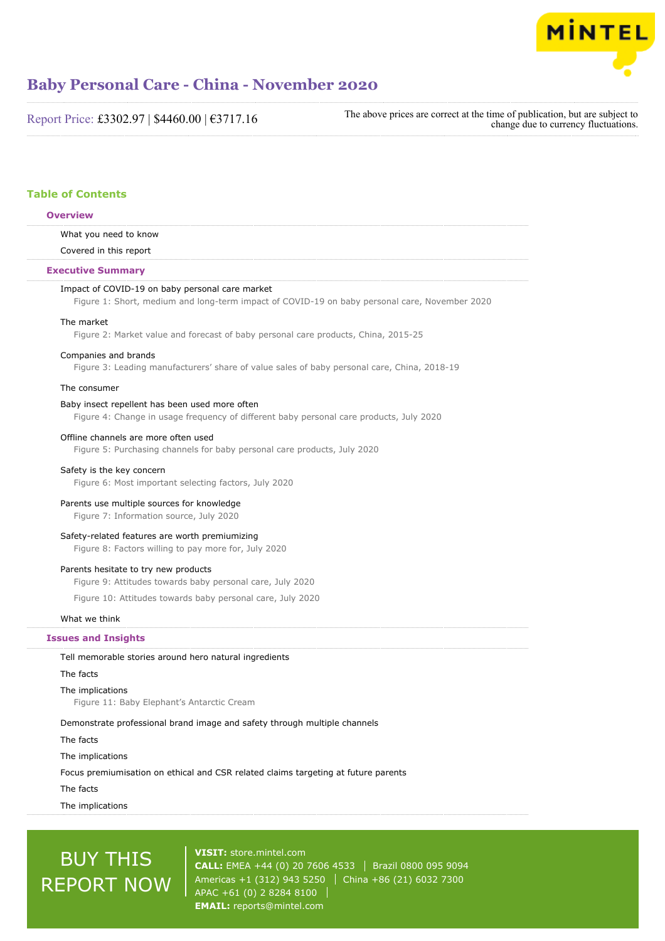

Report Price: £3302.97 | \$4460.00 | €3717.16

The above prices are correct at the time of publication, but are subject to change due to currency fluctuations.

#### **Table of Contents**

#### **Overview**

What you need to know

Covered in this report

#### **Executive Summary**

#### Impact of COVID-19 on baby personal care market

Figure 1: Short, medium and long-term impact of COVID-19 on baby personal care, November 2020

#### The market

Figure 2: Market value and forecast of baby personal care products, China, 2015-25

#### Companies and brands

Figure 3: Leading manufacturers' share of value sales of baby personal care, China, 2018-19

#### The consumer

#### Baby insect repellent has been used more often

Figure 4: Change in usage frequency of different baby personal care products, July 2020

#### Offline channels are more often used

Figure 5: Purchasing channels for baby personal care products, July 2020

#### Safety is the key concern

Figure 6: Most important selecting factors, July 2020

#### Parents use multiple sources for knowledge

Figure 7: Information source, July 2020

#### Safety-related features are worth premiumizing

Figure 8: Factors willing to pay more for, July 2020

#### Parents hesitate to try new products

Figure 9: Attitudes towards baby personal care, July 2020

Figure 10: Attitudes towards baby personal care, July 2020

#### What we think

#### **Issues and Insights**

#### Tell memorable stories around hero natural ingredients

The facts

#### The implications

Figure 11: Baby Elephant's Antarctic Cream

#### Demonstrate professional brand image and safety through multiple channels

#### The facts

The implications

Focus premiumisation on ethical and CSR related claims targeting at future parents

#### The facts

The implications

# BUY THIS REPORT NOW

**VISIT:** [store.mintel.com](/reports.mintel.com//display/store/990454/) **CALL:** EMEA +44 (0) 20 7606 4533 Brazil 0800 095 9094 Americas +1 (312) 943 5250 | China +86 (21) 6032 7300 APAC +61 (0) 2 8284 8100 **EMAIL:** [reports@mintel.com](mailto:reports@mintel.com)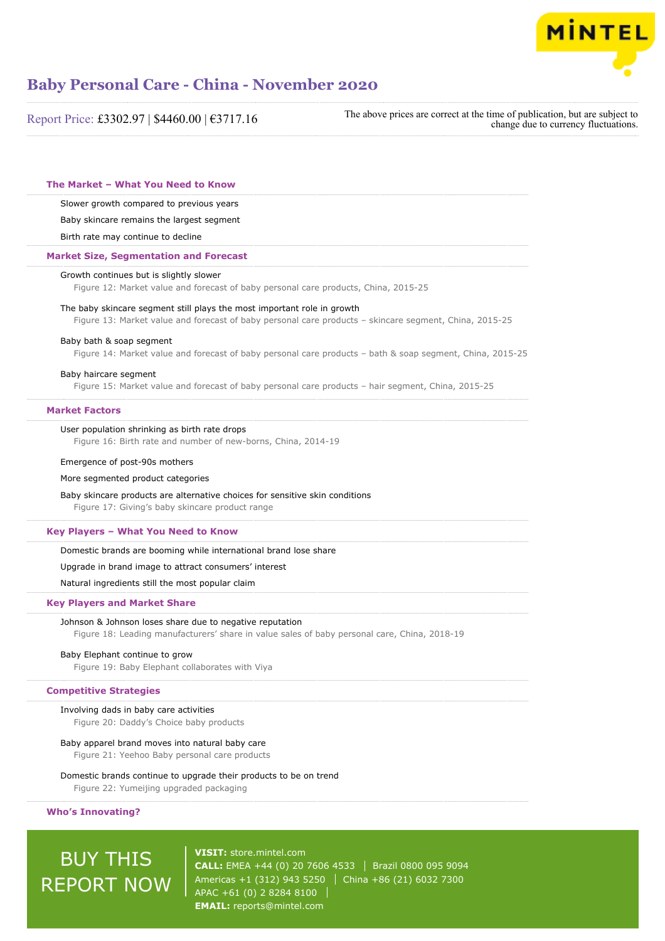

| The above prices are correct at the time of publication, but are subject to<br>Report Price: £3302.97   \$4460.00   €3717.16                                                      |  | change due to currency fluctuations. |
|-----------------------------------------------------------------------------------------------------------------------------------------------------------------------------------|--|--------------------------------------|
|                                                                                                                                                                                   |  |                                      |
| The Market - What You Need to Know                                                                                                                                                |  |                                      |
| Slower growth compared to previous years                                                                                                                                          |  |                                      |
| Baby skincare remains the largest segment                                                                                                                                         |  |                                      |
| Birth rate may continue to decline                                                                                                                                                |  |                                      |
| <b>Market Size, Segmentation and Forecast</b>                                                                                                                                     |  |                                      |
| Growth continues but is slightly slower<br>Figure 12: Market value and forecast of baby personal care products, China, 2015-25                                                    |  |                                      |
| The baby skincare segment still plays the most important role in growth<br>Figure 13: Market value and forecast of baby personal care products - skincare segment, China, 2015-25 |  |                                      |
| Baby bath & soap segment<br>Figure 14: Market value and forecast of baby personal care products - bath & soap segment, China, 2015-25                                             |  |                                      |
| Baby haircare segment<br>Figure 15: Market value and forecast of baby personal care products - hair segment, China, 2015-25                                                       |  |                                      |
| <b>Market Factors</b>                                                                                                                                                             |  |                                      |
| User population shrinking as birth rate drops<br>Figure 16: Birth rate and number of new-borns, China, 2014-19                                                                    |  |                                      |
| Emergence of post-90s mothers                                                                                                                                                     |  |                                      |
| More segmented product categories                                                                                                                                                 |  |                                      |
| Baby skincare products are alternative choices for sensitive skin conditions<br>Figure 17: Giving's baby skincare product range                                                   |  |                                      |
| Key Players - What You Need to Know                                                                                                                                               |  |                                      |
| Domestic brands are booming while international brand lose share                                                                                                                  |  |                                      |
| Upgrade in brand image to attract consumers' interest                                                                                                                             |  |                                      |
| Natural ingredients still the most popular claim                                                                                                                                  |  |                                      |
| <b>Key Players and Market Share</b>                                                                                                                                               |  |                                      |
| Johnson & Johnson loses share due to negative reputation<br>Figure 18: Leading manufacturers' share in value sales of baby personal care, China, 2018-19                          |  |                                      |
| Baby Elephant continue to grow<br>Figure 19: Baby Elephant collaborates with Viya                                                                                                 |  |                                      |
| <b>Competitive Strategies</b>                                                                                                                                                     |  |                                      |
| Involving dads in baby care activities<br>Figure 20: Daddy's Choice baby products                                                                                                 |  |                                      |
| Baby apparel brand moves into natural baby care<br>Figure 21: Yeehoo Baby personal care products                                                                                  |  |                                      |
| Domestic brands continue to upgrade their products to be on trend<br>Figure 22: Yumeijing upgraded packaging                                                                      |  |                                      |
| <b>Who's Innovating?</b>                                                                                                                                                          |  |                                      |

## BUY THIS REPORT NOW

**VISIT:** [store.mintel.com](/reports.mintel.com//display/store/990454/) **CALL:** EMEA +44 (0) 20 7606 4533 | Brazil 0800 095 9094 Americas +1 (312) 943 5250 China +86 (21) 6032 7300 APAC +61 (0) 2 8284 8100 **EMAIL:** [reports@mintel.com](mailto:reports@mintel.com)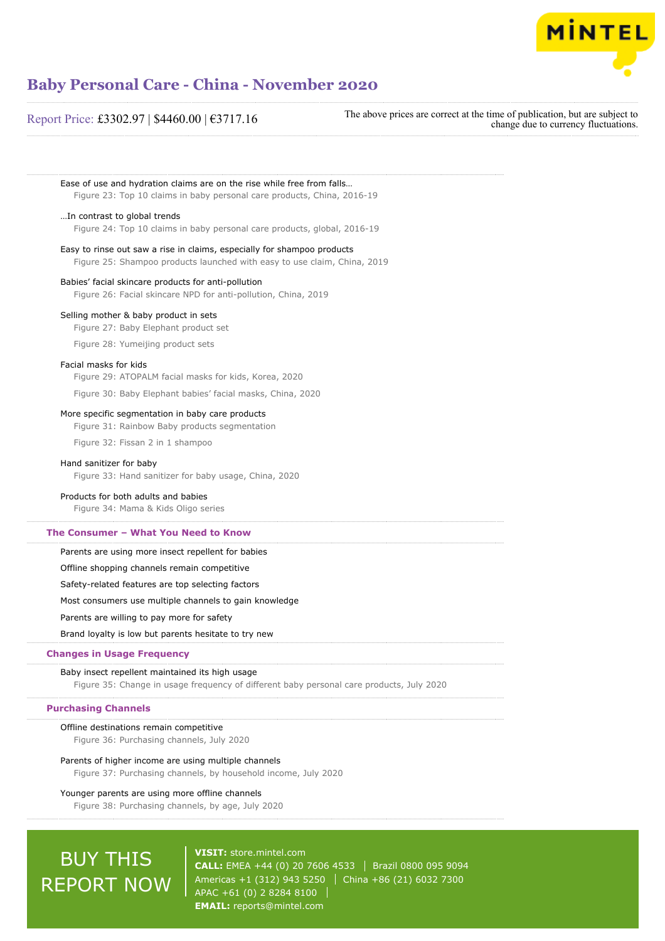

change due to currency fluctuations.

## **Baby Personal Care - China - November 2020**

# Report Price: £3302.97 | \$4460.00 | €3717.16 The above prices are correct at the time of publication, but are subject to

Ease of use and hydration claims are on the rise while free from falls… Figure 23: Top 10 claims in baby personal care products, China, 2016-19 …In contrast to global trends

Figure 24: Top 10 claims in baby personal care products, global, 2016-19

Easy to rinse out saw a rise in claims, especially for shampoo products Figure 25: Shampoo products launched with easy to use claim, China, 2019

#### Babies' facial skincare products for anti-pollution

Figure 26: Facial skincare NPD for anti-pollution, China, 2019

#### Selling mother & baby product in sets

Figure 27: Baby Elephant product set

Figure 28: Yumeijing product sets

#### Facial masks for kids

Figure 29: ATOPALM facial masks for kids, Korea, 2020

Figure 30: Baby Elephant babies' facial masks, China, 2020

#### More specific segmentation in baby care products

Figure 31: Rainbow Baby products segmentation

Figure 32: Fissan 2 in 1 shampoo

#### Hand sanitizer for baby

Figure 33: Hand sanitizer for baby usage, China, 2020

#### Products for both adults and babies

Figure 34: Mama & Kids Oligo series

#### **The Consumer – What You Need to Know**

Parents are using more insect repellent for babies

Offline shopping channels remain competitive

Safety-related features are top selecting factors

Most consumers use multiple channels to gain knowledge

Parents are willing to pay more for safety

Brand loyalty is low but parents hesitate to try new

#### **Changes in Usage Frequency**

#### Baby insect repellent maintained its high usage

Figure 35: Change in usage frequency of different baby personal care products, July 2020

#### **Purchasing Channels**

Offline destinations remain competitive Figure 36: Purchasing channels, July 2020

#### Parents of higher income are using multiple channels

Figure 37: Purchasing channels, by household income, July 2020

#### Younger parents are using more offline channels

Figure 38: Purchasing channels, by age, July 2020

# BUY THIS REPORT NOW

**VISIT:** [store.mintel.com](/reports.mintel.com//display/store/990454/) **CALL:** EMEA +44 (0) 20 7606 4533 | Brazil 0800 095 9094 Americas +1 (312) 943 5250 | China +86 (21) 6032 7300 APAC +61 (0) 2 8284 8100 **EMAIL:** [reports@mintel.com](mailto:reports@mintel.com)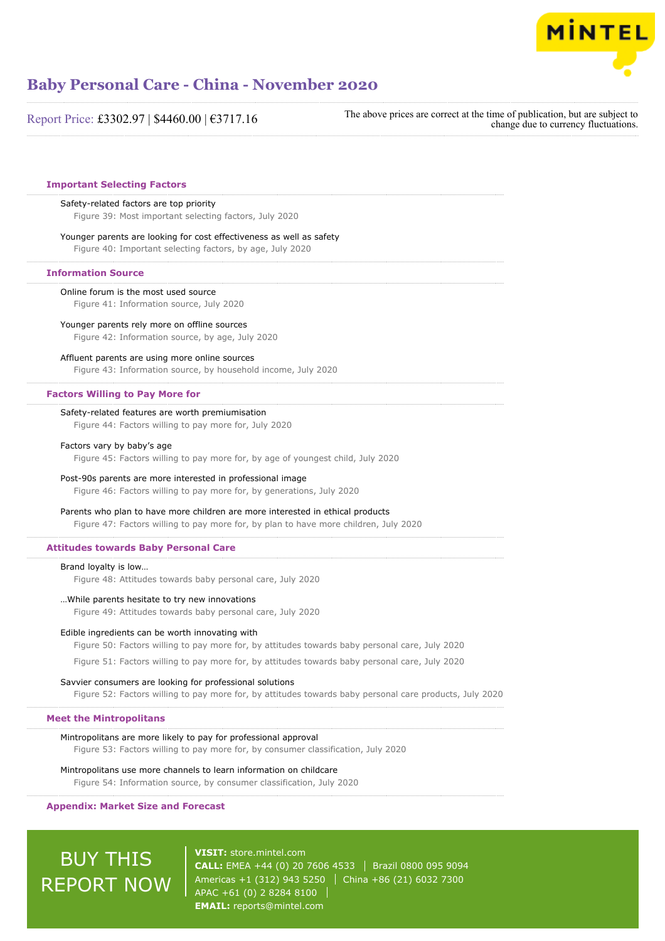

Report Price: £3302.97 | \$4460.00 | €3717.16

The above prices are correct at the time of publication, but are subject to change due to currency fluctuations.

#### **Important Selecting Factors**

#### Safety-related factors are top priority

Figure 39: Most important selecting factors, July 2020

#### Younger parents are looking for cost effectiveness as well as safety

Figure 40: Important selecting factors, by age, July 2020

#### **Information Source**

Online forum is the most used source

#### Figure 41: Information source, July 2020

#### Younger parents rely more on offline sources

Figure 42: Information source, by age, July 2020

#### Affluent parents are using more online sources

Figure 43: Information source, by household income, July 2020

#### **Factors Willing to Pay More for**

#### Safety-related features are worth premiumisation

Figure 44: Factors willing to pay more for, July 2020

#### Factors vary by baby's age

Figure 45: Factors willing to pay more for, by age of youngest child, July 2020

#### Post-90s parents are more interested in professional image

Figure 46: Factors willing to pay more for, by generations, July 2020

#### Parents who plan to have more children are more interested in ethical products

Figure 47: Factors willing to pay more for, by plan to have more children, July 2020

#### **Attitudes towards Baby Personal Care**

#### Brand loyalty is low…

Figure 48: Attitudes towards baby personal care, July 2020

#### …While parents hesitate to try new innovations

Figure 49: Attitudes towards baby personal care, July 2020

#### Edible ingredients can be worth innovating with

Figure 50: Factors willing to pay more for, by attitudes towards baby personal care, July 2020

Figure 51: Factors willing to pay more for, by attitudes towards baby personal care, July 2020

#### Savvier consumers are looking for professional solutions

Figure 52: Factors willing to pay more for, by attitudes towards baby personal care products, July 2020

#### **Meet the Mintropolitans**

Mintropolitans are more likely to pay for professional approval

Figure 53: Factors willing to pay more for, by consumer classification, July 2020

#### Mintropolitans use more channels to learn information on childcare

Figure 54: Information source, by consumer classification, July 2020

#### **Appendix: Market Size and Forecast**

## BUY THIS REPORT NOW

**VISIT:** [store.mintel.com](/reports.mintel.com//display/store/990454/) **CALL:** EMEA +44 (0) 20 7606 4533 Brazil 0800 095 9094 Americas +1 (312) 943 5250 | China +86 (21) 6032 7300 APAC +61 (0) 2 8284 8100 **EMAIL:** [reports@mintel.com](mailto:reports@mintel.com)